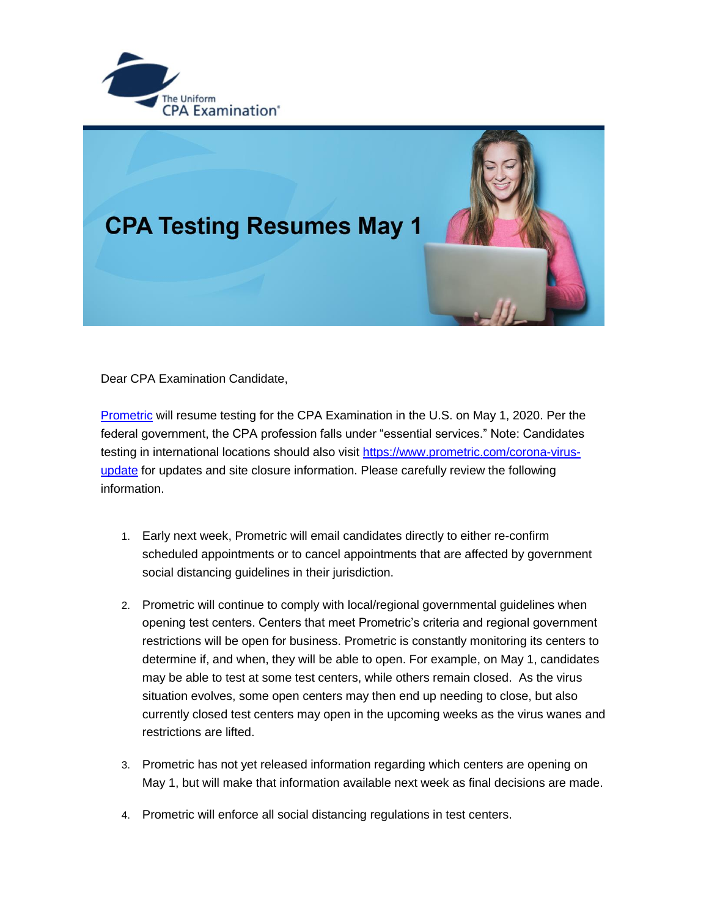



Dear CPA Examination Candidate,

[Prometric](https://gcc02.safelinks.protection.outlook.com/?url=https%3A%2F%2Ft.e2ma.net%2Fclick%2Fre0p7b%2Fz0e6xe%2Fv5j6rm&data=02%7C01%7CKristen.Vanwinkle%40nebraska.gov%7C93ef121cd6c94d328ade08d7e894a0d4%7C043207dfe6894bf6902001038f11f0b1%7C0%7C0%7C637233597360215285&sdata=l0bRzN1g24mB4L8InYQGJfdkJ2kzABzWS%2Fl1RpgGh5c%3D&reserved=0) will resume testing for the CPA Examination in the U.S. on May 1, 2020. Per the federal government, the CPA profession falls under "essential services." Note: Candidates testing in international locations should also visit [https://www.prometric.com/corona-virus](https://gcc02.safelinks.protection.outlook.com/?url=https%3A%2F%2Ft.e2ma.net%2Fclick%2Fre0p7b%2Fz0e6xe%2Fbyk6rm&data=02%7C01%7CKristen.Vanwinkle%40nebraska.gov%7C93ef121cd6c94d328ade08d7e894a0d4%7C043207dfe6894bf6902001038f11f0b1%7C0%7C0%7C637233597360225278&sdata=iEB8ZBXjhbGuTKl%2FPBwhTtbJ0q%2F3dJU%2BVcQFkoOcOPU%3D&reserved=0)[update](https://gcc02.safelinks.protection.outlook.com/?url=https%3A%2F%2Ft.e2ma.net%2Fclick%2Fre0p7b%2Fz0e6xe%2Fbyk6rm&data=02%7C01%7CKristen.Vanwinkle%40nebraska.gov%7C93ef121cd6c94d328ade08d7e894a0d4%7C043207dfe6894bf6902001038f11f0b1%7C0%7C0%7C637233597360225278&sdata=iEB8ZBXjhbGuTKl%2FPBwhTtbJ0q%2F3dJU%2BVcQFkoOcOPU%3D&reserved=0) for updates and site closure information. Please carefully review the following information.

- 1. Early next week, Prometric will email candidates directly to either re-confirm scheduled appointments or to cancel appointments that are affected by government social distancing guidelines in their jurisdiction.
- 2. Prometric will continue to comply with local/regional governmental guidelines when opening test centers. Centers that meet Prometric's criteria and regional government restrictions will be open for business. Prometric is constantly monitoring its centers to determine if, and when, they will be able to open. For example, on May 1, candidates may be able to test at some test centers, while others remain closed. As the virus situation evolves, some open centers may then end up needing to close, but also currently closed test centers may open in the upcoming weeks as the virus wanes and restrictions are lifted.
- 3. Prometric has not yet released information regarding which centers are opening on May 1, but will make that information available next week as final decisions are made.
- 4. Prometric will enforce all social distancing regulations in test centers.